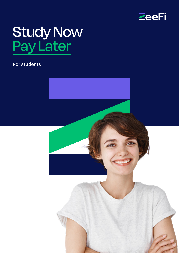

# Study Now Pay Later

### **For students**

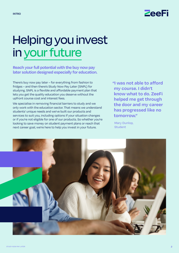

## Helping you invest in your future

**Reach your full potential with the buy now pay later solution designed especially for education.**

There's buy now pay later – for everything from fashion to fridges – and then there's Study Now Pay Later (SNPL) for studying. SNPL is a flexible and affordable payment plan that lets you get the quality education you deserve without the upfront course cost and interest fees.

We specialise in removing financial barriers to study and we only work with the education sector. That means we understand students' unique needs and we've built our products and services to suit you, including options if your situation changes or if you're not eligible for one of our products. So whether you're looking to save money on student payment plans or reach that next career goal, we're here to help you invest in your future.

**"I was not able to afford my course. I didn't know what to do. ZeeFi helped me get through the door and my career has progressed like no tomorrow."**

Mary Dunlop, **Student** 

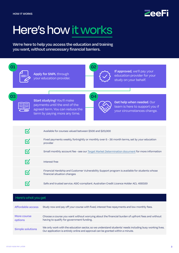

## Here's how it works

**We're here to help you access the education and training you want, without unnecessary financial barriers.** 



| Here's what you get     |                                                                                                                                                                                           |
|-------------------------|-------------------------------------------------------------------------------------------------------------------------------------------------------------------------------------------|
| Affordable access       | Study now and pay off your course with fixed, interest free repayments and low monthly fees.                                                                                              |
| More course<br>options  | Choose a course you want without worrying about the financial burden of upfront fees and without<br>having to qualify for government funding.                                             |
| <b>Simple solutions</b> | We only work with the education sector, so we understand students' needs including busy working lives.<br>Our application is entirely online and approval can be granted within a minute. |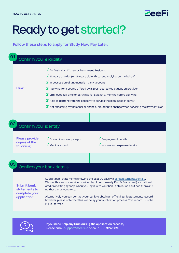

## Ready to get started?

**Follow these steps to apply for Study Now Pay Later.**

### Confirm your eligibility **I am: ☑**An Australian Citizen or Permanent Resident **☑** 18 years or older (or 16 years old with parent applying on my behalf) **☑**In possession of an Australian bank account **☑**Applying for a course offered by a ZeeFi accredited education provider **☑**Employed full time or part time for at least 6 months before applying **☑**Able to demonstrate the capacity to service the plan independently **☑**Not expecting my personal or financial situation to change when servicing the payment plan **01**

### Confirm your identity

**Please provide copies of the following:**

**02**

**03**

**☑**Driver Licence or passport **☑**Medicare card

**☑**Employment details

**☑**Income and expense details

### Confirm your bank details

**Submit bank statements to complete your application:**

Submit bank statements showing the past 90 days via [bankstatements.com.au](http://BankStatements.com.au). We use this secure service provided by Illion (formerly Dun & Bradstreet) – a national credit reporting agency. When you login with your bank details, we can't see them and neither can anyone else.

Alternatively, you can contact your bank to obtain an official Bank Statements Record, however, please note that this will delay your application process. This record must be in PDF format.



**If you need help any time during the application process, please email [support@](mailto:support%40zeefi.io?subject=)zeeFi.io or call 1800 324 909.**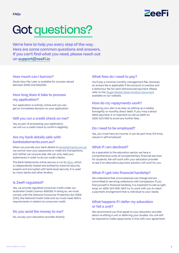

# Got questions?

**We're here to help you every step of the way. Here are some common questions and answers. If you can't find what you need, please reach out on [support@zeeFi.io](mailto:support%40zeefi.io?subject=)**

#### **How much can I borrow?**

Study Now Pay Later is available for courses valued between \$500 and \$20,000.

#### **How long does it take to process my application?**

Our application is entirely online and you can get an immediate decision on your application.

#### **Will you run a credit check on me?**

Yes, as part of processing your application, we will run a credit check to confirm eligibility.

#### **Are my bank details safe with bankstatements.com.au?**

When you provide your bank details to bankstatments.com.au we cannot view your passwords or make any transactions, and neither can anyone else. We can only read your statements in order to do our credit checks.

The Bank Statements online service is run by [Illion,](https://bankstatements.com.au/about/security) which is independently tested and audited by external security experts and encrypted with bank-level security. It is used by many banks and other lenders.

#### **Is ZeeFi regulated?**

Yes, we provide regulated consumer credit under our Australian Credit Licence 498589. In doing so, we must comply with the *National Consumer Protection Act 2006* (Cth), the National Credit Code and we must meet ASIC's requirements in relation to consumer credit.

#### **Do you send the money to me?**

No, we pay your education provider directly.

#### **What fees do I need to pay?**

You'll pay a minimal monthly management fee. However, an arrears fee is applicable if the account is overdue and a dishonour fee for each dishonoured payment. Please refer to the [Target Market Determination document](https://zeefi.io/target-market-determination-study-now-pay-later/) available on our website.

#### **How do my repayments work?**

Repaying your plan is as easy as setting up a weekly, fortnightly or monthly direct debit. If you miss a direct debit payment, it is important to call us ASAP on 1800 324 909 to avoid any further fees.

#### **Do I need to be employed?**

Yes, you must have an income. It can be part time, full time, casual or self-employed.

#### **What if I am declined?**

As a specialist to the education sector, we have a comprehensive suite of complementary financial services for students. We will work with your education provider to see if an alternative payment solution will work for you.

#### **What if I get into financial hardship?**

We understand that circumstances can change and are committed to servicing collections with compassion. If you find yourself in financial hardship, it is important to call us right away on 1800 324 909. We'll try to work with you to reach a payment arrangement that is individual to your needs.

#### **What happens if I defer my education or fail a unit?**

We recommend you first speak to your education provider about re-sitting a unit or deferring your studies. You will still be required to make repayments in line with your agreement.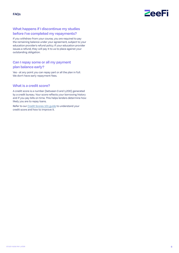

#### **What happens if I discontinue my studies before I've completed my repayments?**

If you withdraw from your course, you are required to pay the remaining balance under your agreement, subject to your education provider's refund policy. If your education provider issues a refund, they will pay it to us to place against your outstanding obligation.

#### **Can I repay some or all my payment plan balance early?**

Yes - at any point you can repay part or all the plan in full. We don't have early repayment fees.

#### **What is a credit score?**

A credit score is a number (between 0 and 1,200) generated by a credit bureau. Your score reflects your borrowing history and if you pay bills on time. This helps lenders determine how likely you are to repay loans.

Refer to our [Credit Scores 101 guide](https://zeefi.io/wp-content/uploads/2022/02/ZeeFi-Credit-Scores-101.pdf) to understand your credit score and how to improve it.